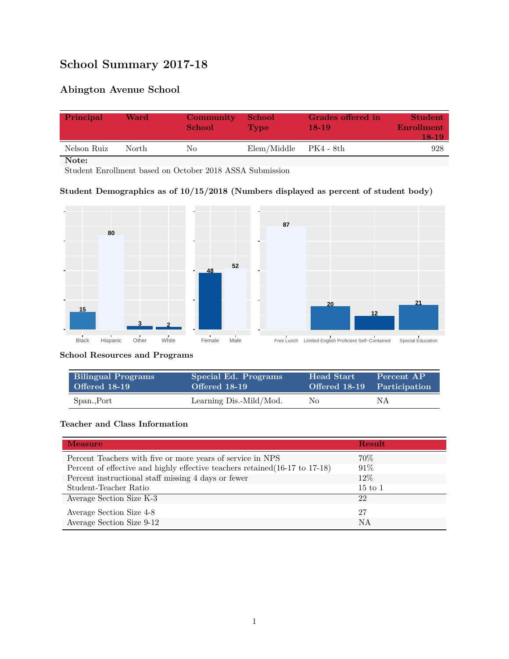# **School Summary 2017-18**

## **Abington Avenue School**

| Principal   | Ward   | Community<br><b>School</b> | <b>School</b><br><b>Type</b> | Grades offered in<br>18-19 | Student<br><b>Enrollment</b><br>18-19 |
|-------------|--------|----------------------------|------------------------------|----------------------------|---------------------------------------|
| Nelson Ruiz | North. | Nο                         | Elem/Middle                  | PK4 - 8th                  | 928                                   |

**Note:**

Student Enrollment based on October 2018 ASSA Submission

#### **Student Demographics as of 10/15/2018 (Numbers displayed as percent of student body)**



#### **School Resources and Programs**

| <b>Bilingual Programs</b> | Special Ed. Programs    | <b>Head Start</b> | Percent AP                  |
|---------------------------|-------------------------|-------------------|-----------------------------|
| Offered 18-19             | Offered 18-19           |                   | Offered 18-19 Participation |
| Span., Port               | Learning Dis.-Mild/Mod. | No                | ΝA                          |

#### **Teacher and Class Information**

| <b>Measure</b>                                                               | <b>Result</b>      |
|------------------------------------------------------------------------------|--------------------|
| Percent Teachers with five or more years of service in NPS                   | 70\%               |
| Percent of effective and highly effective teachers retained (16-17 to 17-18) | $91\%$             |
| Percent instructional staff missing 4 days or fewer                          | $12\%$             |
| Student-Teacher Ratio                                                        | $15 \text{ to } 1$ |
| Average Section Size K-3                                                     | 22                 |
| Average Section Size 4-8                                                     | 27                 |
| Average Section Size 9-12                                                    | NA                 |